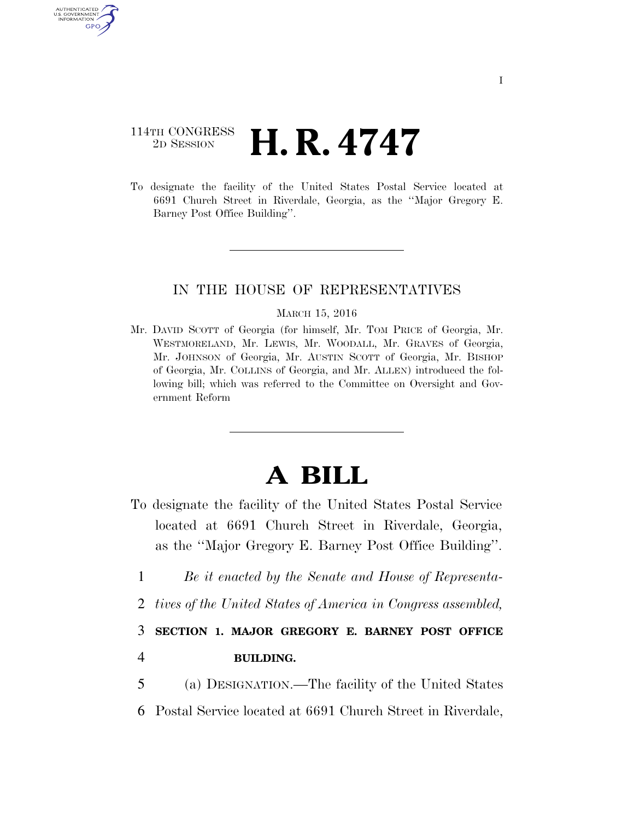## 114TH CONGRESS  $\frac{\text{TP} \text{ CONGREGS}}{\text{2D} \text{ SESSION}}$  **H. R. 4747**

AUTHENTICATED U.S. GOVERNMENT GPO

> To designate the facility of the United States Postal Service located at 6691 Church Street in Riverdale, Georgia, as the ''Major Gregory E. Barney Post Office Building''.

## IN THE HOUSE OF REPRESENTATIVES

## MARCH 15, 2016

Mr. DAVID SCOTT of Georgia (for himself, Mr. TOM PRICE of Georgia, Mr. WESTMORELAND, Mr. LEWIS, Mr. WOODALL, Mr. GRAVES of Georgia, Mr. JOHNSON of Georgia, Mr. AUSTIN SCOTT of Georgia, Mr. BISHOP of Georgia, Mr. COLLINS of Georgia, and Mr. ALLEN) introduced the following bill; which was referred to the Committee on Oversight and Government Reform

## **A BILL**

- To designate the facility of the United States Postal Service located at 6691 Church Street in Riverdale, Georgia, as the ''Major Gregory E. Barney Post Office Building''.
	- 1 *Be it enacted by the Senate and House of Representa-*
	- 2 *tives of the United States of America in Congress assembled,*

3 **SECTION 1. MAJOR GREGORY E. BARNEY POST OFFICE**  4 **BUILDING.** 

5 (a) DESIGNATION.—The facility of the United States 6 Postal Service located at 6691 Church Street in Riverdale,